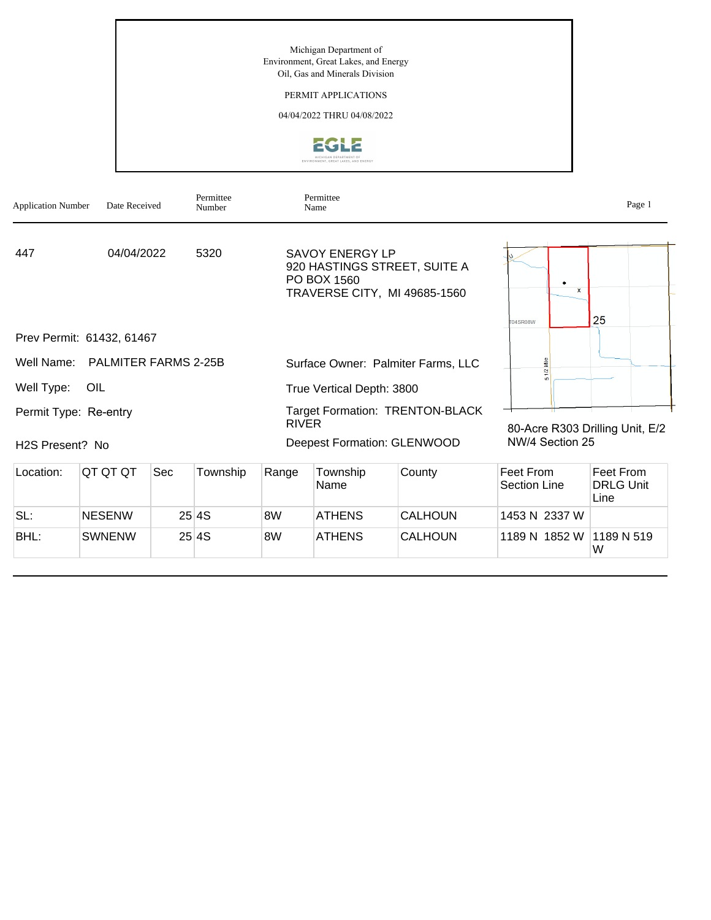Michigan Department of Environment, Great Lakes, and Energy Oil, Gas and Minerals Division

## PERMIT APPLICATIONS

04/04/2022 THRU 04/08/2022



| <b>Application Number</b> | Date Received               |     | Permittee<br>Number |              | Permittee<br>Name                     |                                                              |                                 | Page 1                                |
|---------------------------|-----------------------------|-----|---------------------|--------------|---------------------------------------|--------------------------------------------------------------|---------------------------------|---------------------------------------|
| 447                       | 04/04/2022                  |     | 5320                |              | <b>SAVOY ENERGY LP</b><br>PO BOX 1560 | 920 HASTINGS STREET, SUITE A<br>TRAVERSE CITY, MI 49685-1560 | ۰<br>$\mathbf{x}$               | 25                                    |
| Prev Permit: 61432, 61467 |                             |     |                     |              |                                       |                                                              | <b>T04SR08W</b>                 |                                       |
| Well Name:                | <b>PALMITER FARMS 2-25B</b> |     |                     |              |                                       | Surface Owner: Palmiter Farms, LLC                           | g                               |                                       |
| Well Type:                | <b>OIL</b>                  |     |                     |              | True Vertical Depth: 3800             |                                                              |                                 |                                       |
| Permit Type: Re-entry     |                             |     |                     | <b>RIVER</b> |                                       | <b>Target Formation: TRENTON-BLACK</b>                       | 80-Acre R303 Drilling Unit, E/2 |                                       |
| H2S Present? No           |                             |     |                     |              | <b>Deepest Formation: GLENWOOD</b>    |                                                              | NW/4 Section 25                 |                                       |
| Location:                 | QT QT QT                    | Sec | Township            | Range        | Township<br>Name                      | County                                                       | Feet From<br>Section Line       | Feet From<br><b>DRLG Unit</b><br>Line |
| SL:                       | <b>NESENW</b>               |     | 25 4S               | 8W           | <b>ATHENS</b>                         | <b>CALHOUN</b>                                               | 1453 N 2337 W                   |                                       |
| BHL:                      | <b>SWNENW</b>               |     | 25 4 S              | 8W           | <b>ATHENS</b>                         | <b>CALHOUN</b>                                               | 1189 N 1852 W 1189 N 519        |                                       |

W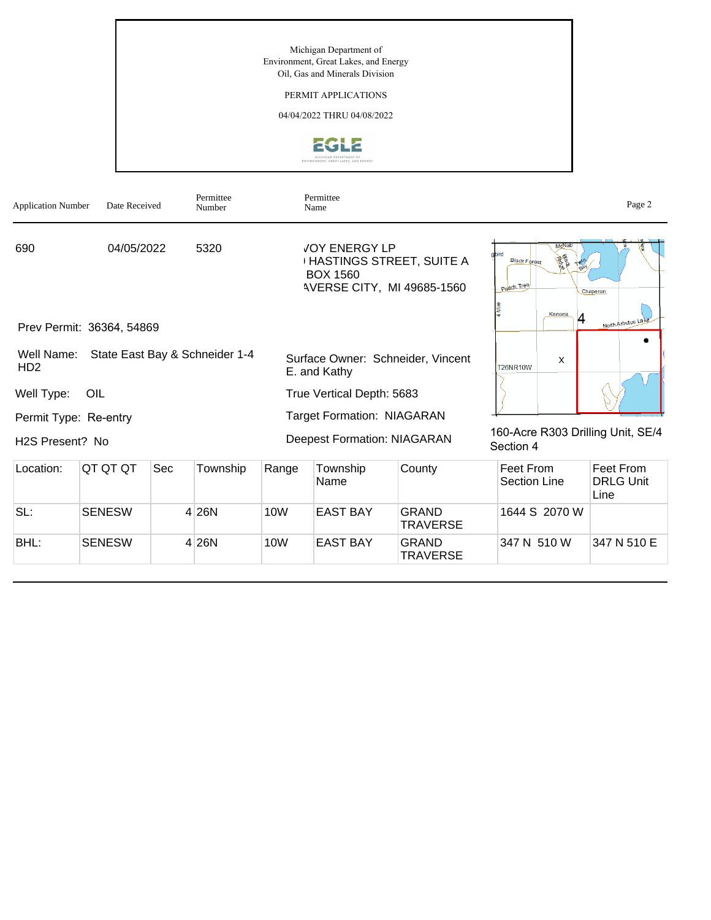Michigan Department of Environment, Great Lakes, and Energy Oil, Gas and Minerals Division

## PERMIT APPLICATIONS

04/04/2022 THRU 04/08/2022



| <b>Application Number</b>     | Date Received             |     | Permittee<br>Number            |                                   | Permittee<br>Name                                                                                               |                                 |                                            |                                        | Page 2                                |
|-------------------------------|---------------------------|-----|--------------------------------|-----------------------------------|-----------------------------------------------------------------------------------------------------------------|---------------------------------|--------------------------------------------|----------------------------------------|---------------------------------------|
| 690                           | 04/05/2022                |     | 5320                           |                                   | <b>JOY ENERGY LP</b><br><b>HASTINGS STREET, SUITE A</b><br><b>BOX 1560</b><br><b>AVERSE CITY, MI 49685-1560</b> |                                 | abird<br><b>Black Forest</b><br>Peach Tree | McNab<br><b>ASKA</b><br>logy<br>Kenona | Chaperon                              |
|                               | Prev Permit: 36364, 54869 |     |                                |                                   |                                                                                                                 |                                 |                                            | 4                                      | North Arbutus Lake                    |
| Well Name:<br>HD <sub>2</sub> |                           |     | State East Bay & Schneider 1-4 |                                   | Surface Owner: Schneider, Vincent<br>E. and Kathy                                                               |                                 | <b>T26NR10W</b>                            | X                                      |                                       |
| Well Type:                    | OIL                       |     |                                | True Vertical Depth: 5683         |                                                                                                                 |                                 |                                            |                                        |                                       |
| Permit Type: Re-entry         |                           |     |                                | <b>Target Formation: NIAGARAN</b> |                                                                                                                 |                                 |                                            |                                        |                                       |
| H <sub>2</sub> S Present? No  |                           |     |                                |                                   | <b>Deepest Formation: NIAGARAN</b>                                                                              |                                 | Section 4                                  |                                        | 160-Acre R303 Drilling Unit, SE/4     |
| Location:                     | QT QT QT                  | Sec | Township                       | Range                             | Township<br>Name                                                                                                | County                          | Feet From<br><b>Section Line</b>           |                                        | Feet From<br><b>DRLG Unit</b><br>Line |
| SL:                           | <b>SENESW</b>             |     | 4 26N                          | <b>10W</b>                        | <b>EAST BAY</b>                                                                                                 | <b>GRAND</b><br><b>TRAVERSE</b> | 1644 S 2070 W                              |                                        |                                       |
| BHL:                          | <b>SENESW</b>             |     | 4 26N                          | 10W                               | <b>EAST BAY</b>                                                                                                 | <b>GRAND</b>                    | 347 N 510 W                                |                                        | 347 N 510 E                           |

**TRAVERSE**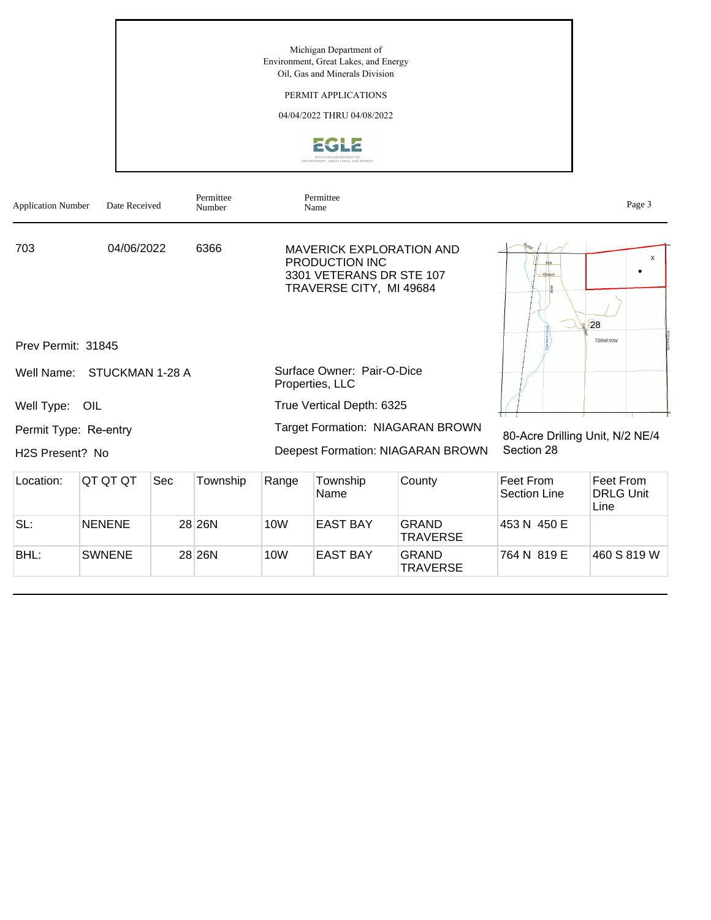Michigan Department of Environment, Great Lakes, and Energy Oil, Gas and Minerals Division

# PERMIT APPLICATIONS

04/04/2022 THRU 04/08/2022



| <b>Application Number</b>    | Date Received   |     | Permittee<br>Number |                 | Permittee<br>Name                                                                                        |                                         |                                               | Page 3                                |  |
|------------------------------|-----------------|-----|---------------------|-----------------|----------------------------------------------------------------------------------------------------------|-----------------------------------------|-----------------------------------------------|---------------------------------------|--|
| 703<br>Prev Permit: 31845    | 04/06/2022      |     | 6366                |                 | <b>MAVERICK EXPLORATION AND</b><br>PRODUCTION INC<br>3301 VETERANS DR STE 107<br>TRAVERSE CITY, MI 49684 |                                         |                                               | x<br>28<br><b>T26NR10W</b>            |  |
| Well Name:                   | STUCKMAN 1-28 A |     |                     |                 | Surface Owner: Pair-O-Dice<br>Properties, LLC                                                            |                                         |                                               |                                       |  |
| Well Type: OIL               |                 |     |                     |                 | True Vertical Depth: 6325                                                                                |                                         |                                               |                                       |  |
| Permit Type: Re-entry        |                 |     |                     |                 |                                                                                                          | <b>Target Formation: NIAGARAN BROWN</b> | 80-Acre Drilling Unit, N/2 NE/4<br>Section 28 |                                       |  |
| H <sub>2</sub> S Present? No |                 |     |                     |                 |                                                                                                          | Deepest Formation: NIAGARAN BROWN       |                                               |                                       |  |
| Location:                    | QT QT QT        | Sec | Township            | Range           | Township<br>Name                                                                                         | County                                  | Feet From<br><b>Section Line</b>              | Feet From<br><b>DRLG Unit</b><br>Line |  |
| SL:                          | <b>NENENE</b>   |     | 28 26N              | 10 <sub>W</sub> | <b>EAST BAY</b>                                                                                          | <b>GRAND</b><br><b>TRAVERSE</b>         | 453 N 450 E                                   |                                       |  |
| BHL:                         | <b>SWNENE</b>   |     | 28 26N              | 10W             | <b>EAST BAY</b>                                                                                          | <b>GRAND</b><br><b>TRAVERSE</b>         | 764 N 819 E                                   | 460 S 819 W                           |  |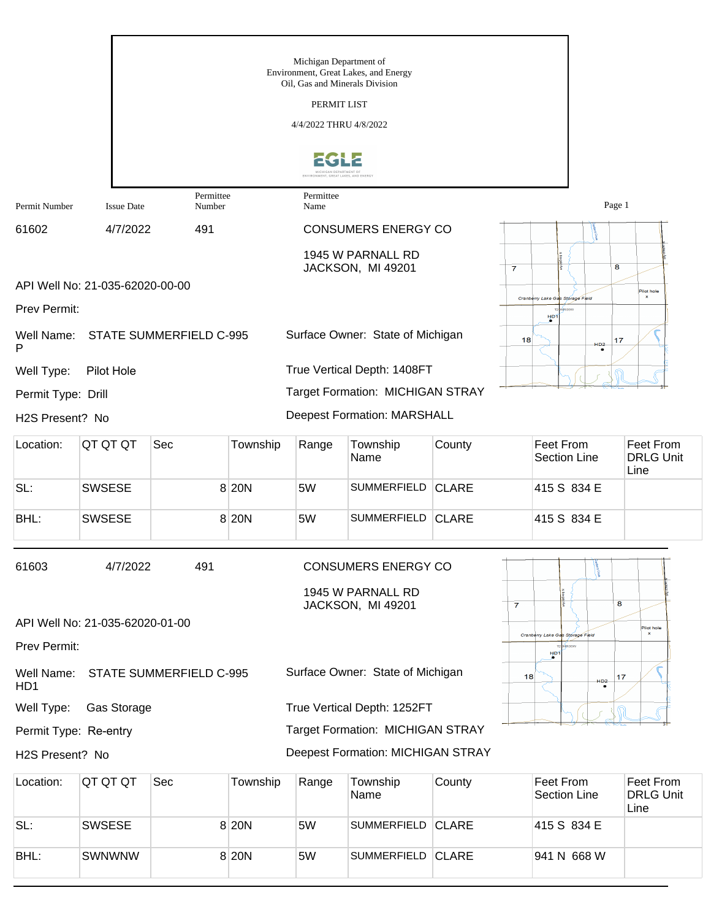|                                |                                 |                                |          | Michigan Department of<br>Oil, Gas and Minerals Division       | Environment, Great Lakes, and Energy     |              |                                                                           |
|--------------------------------|---------------------------------|--------------------------------|----------|----------------------------------------------------------------|------------------------------------------|--------------|---------------------------------------------------------------------------|
|                                |                                 |                                |          | PERMIT LIST                                                    |                                          |              |                                                                           |
|                                |                                 |                                |          | 4/4/2022 THRU 4/8/2022                                         |                                          |              |                                                                           |
|                                |                                 |                                |          | MICHIGAN DEPARTMENT OF<br>ENVIRONMENT, GREAT LAKES, AND ENERGY |                                          |              |                                                                           |
| Permit Number                  | <b>Issue Date</b>               | Permittee<br>Number            |          | Permittee<br>Name                                              |                                          |              | Page 1                                                                    |
| 61602                          | 4/7/2022                        | 491                            |          |                                                                | <b>CONSUMERS ENERGY CO</b>               |              | {{                                                                        |
|                                |                                 |                                |          |                                                                | 1945 W PARNALL RD                        |              |                                                                           |
|                                | API Well No: 21-035-62020-00-00 |                                |          |                                                                | JACKSON, MI 49201                        |              | $\overline{\mathbf{8}}$<br>$\overline{7}$                                 |
| Prev Permit:                   |                                 |                                |          |                                                                |                                          |              | Pilot hole<br>Cranberry Lake Gas Storage Flek                             |
| Well Name:<br>P                |                                 | <b>STATE SUMMERFIELD C-995</b> |          |                                                                | Surface Owner: State of Michigan         |              | H <sub>D1</sub><br>18<br>17<br>HD2                                        |
| Well Type:                     | Pilot Hole                      |                                |          |                                                                | True Vertical Depth: 1408FT              |              |                                                                           |
| Permit Type: Drill             |                                 |                                |          |                                                                | Target Formation: MICHIGAN STRAY         |              |                                                                           |
| H2S Present? No                |                                 |                                |          |                                                                | <b>Deepest Formation: MARSHALL</b>       |              |                                                                           |
| Location:                      | QT QT QT                        | Sec                            | Township | Range                                                          | Township<br>Name                         | County       | Feet From<br>Feet From<br><b>DRLG Unit</b><br><b>Section Line</b><br>Line |
| SL:                            | <b>SWSESE</b>                   |                                | 8 20 N   | 5W                                                             | <b>SUMMERFIELD</b>                       | <b>CLARE</b> | 415 S 834 E                                                               |
| BHL:                           | <b>SWSESE</b>                   |                                | 8 20 N   | 5W                                                             | <b>SUMMERFIELD</b>                       | <b>CLARE</b> | 415 S 834 E                                                               |
| 61603                          | 4/7/2022                        | 491                            |          |                                                                | <b>CONSUMERS ENERGY CO</b>               |              |                                                                           |
|                                |                                 |                                |          |                                                                | 1945 W PARNALL RD<br>JACKSON, MI 49201   |              | 8<br>$\overline{7}$                                                       |
|                                | API Well No: 21-035-62020-01-00 |                                |          |                                                                |                                          |              | Pilot hole<br>Cranberry Lake Gas Storage Field                            |
| Prev Permit:                   |                                 |                                |          |                                                                |                                          |              | HDT                                                                       |
| Well Name:<br>H <sub>D</sub> 1 |                                 | STATE SUMMERFIELD C-995        |          |                                                                | Surface Owner: State of Michigan         |              | 18<br>17<br>HD <sub>2</sub>                                               |
| Well Type:                     | Gas Storage                     |                                |          |                                                                | True Vertical Depth: 1252FT              |              |                                                                           |
| Permit Type: Re-entry          |                                 |                                |          |                                                                | Target Formation: MICHIGAN STRAY         |              |                                                                           |
| H2S Present? No                |                                 |                                |          |                                                                | <b>Deepest Formation: MICHIGAN STRAY</b> |              |                                                                           |
| Location:                      | QT QT QT                        | Sec                            | Township | Range                                                          | Township<br>Name                         | County       | Feet From<br>Feet From<br>Section Line<br><b>DRLG Unit</b><br>Line        |
| SL:                            | <b>SWSESE</b>                   |                                | 8 20 N   | 5W                                                             | <b>SUMMERFIELD</b>                       | <b>CLARE</b> | 415 S 834 E                                                               |
| BHL:                           | <b>SWNWNW</b>                   |                                | 8 20 N   | 5W                                                             | SUMMERFIELD CLARE                        |              | 941 N 668 W                                                               |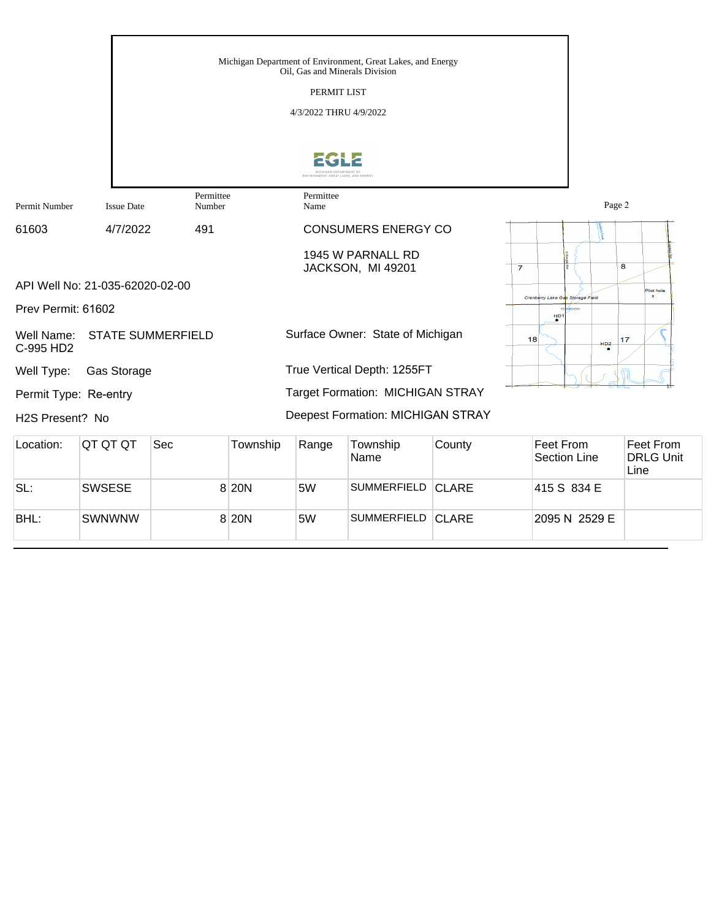|                              |                                 |                          |          | Oil, Gas and Minerals Division<br>PERMIT LIST<br>4/3/2022 THRU 4/9/2022 | Michigan Department of Environment, Great Lakes, and Energy |        |                                                     |           |                         |
|------------------------------|---------------------------------|--------------------------|----------|-------------------------------------------------------------------------|-------------------------------------------------------------|--------|-----------------------------------------------------|-----------|-------------------------|
|                              |                                 |                          |          | <b>UCHIGAN DEPARTMENT OF</b>                                            |                                                             |        |                                                     |           |                         |
| Permit Number                | <b>Issue Date</b>               | Permittee<br>Number      |          | Permittee<br>Name                                                       |                                                             |        |                                                     | Page 2    |                         |
| 61603                        | 4/7/2022                        | 491                      |          |                                                                         | <b>CONSUMERS ENERGY CO</b>                                  |        |                                                     |           |                         |
|                              | API Well No: 21-035-62020-02-00 |                          |          |                                                                         | 1945 W PARNALL RD<br>JACKSON, MI 49201                      |        | $\overline{7}$                                      | 8         | Pilot hole              |
| Prev Permit: 61602           |                                 |                          |          |                                                                         |                                                             |        | Cranberry Lake Gas Storage Field<br>H <sub>D1</sub> |           |                         |
| Well Name:<br>C-995 HD2      |                                 | <b>STATE SUMMERFIELD</b> |          |                                                                         | Surface Owner: State of Michigan                            |        | 18                                                  | 17<br>HD2 |                         |
| Well Type:                   | Gas Storage                     |                          |          |                                                                         | True Vertical Depth: 1255FT                                 |        |                                                     |           |                         |
| Permit Type: Re-entry        |                                 |                          |          |                                                                         | <b>Target Formation: MICHIGAN STRAY</b>                     |        |                                                     |           |                         |
| H <sub>2</sub> S Present? No |                                 |                          |          |                                                                         | <b>Deepest Formation: MICHIGAN STRAY</b>                    |        |                                                     |           |                         |
| Location:                    | QT QT QT                        | Sec                      | Township | Range                                                                   | Township<br>Name                                            | County | Feet From<br>Section Line                           |           | Feet From<br>DRI G Unit |

| Lucalium. | 1919 N        | טשט | <b>TUWISHIP</b> | <b>Naliye</b> | <b>TUWISHIP</b><br>Name | <b>COUNTLY</b> | LACI LIQIII<br>Section Line | LAAL LIQIII<br>DRLG Unit<br>Line |
|-----------|---------------|-----|-----------------|---------------|-------------------------|----------------|-----------------------------|----------------------------------|
| SL:       | <b>SWSESE</b> |     | 8 20N           | 5W            | SUMMERFIELD CLARE       |                | 1415 S 834 E                |                                  |
| BHL:      | SWNWNW        |     | 8 20N           | 5W            | SUMMERFIELD CLARE       |                | 2095 N 2529 E               |                                  |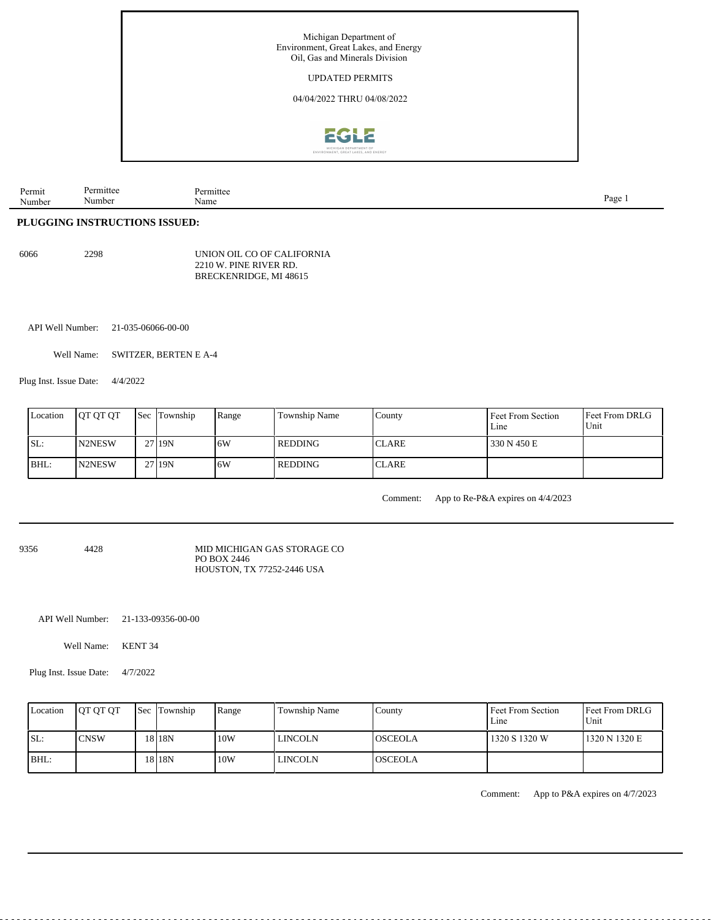

| Permit | mitteo | mitter | Page |
|--------|--------|--------|------|
| ъ,     |        |        |      |
| Number | Numb   | Name   |      |
|        |        |        |      |
|        |        |        |      |

## **PLUGGING INSTRUCTIONS ISSUED:**

| 6066 | 2298 | UNION OIL CO OF CALIFORNIA |
|------|------|----------------------------|
|      |      | 2210 W. PINE RIVER RD.     |
|      |      | BRECKENRIDGE, MI 48615     |

API Well Number: 21-035-06066-00-00

Well Name: SWITZER, BERTEN E A-4

Plug Inst. Issue Date: 4/4/2022

| Location | <b>IOT OT OT</b> | <b>Sec</b> Township | Range | Township Name  | County        | Feet From Section<br>Line | <b>Feet From DRLG</b><br>Unit |
|----------|------------------|---------------------|-------|----------------|---------------|---------------------------|-------------------------------|
| SL:      | N2NESW           | 27 19N              | 16W   | <b>REDDING</b> | <b>ICLARE</b> | 330 N 450 E               |                               |
| BHL:     | <b>IN2NESW</b>   | 27 <sub>19N</sub>   | 16W   | l REDDING      | <b>CLARE</b>  |                           |                               |

Comment: App to Re-P&A expires on 4/4/2023

9356 4428

MID MICHIGAN GAS STORAGE CO PO BOX 2446 HOUSTON, TX 77252-2446 USA

API Well Number: 21-133-09356-00-00

Well Name: KENT 34

Plug Inst. Issue Date: 4/7/2022

| Location | <b>OT OT OT</b> | <b>Sec</b> Township | Range | Township Name  | Countv          | Feet From Section<br>Line | Feet From DRLG<br>Unit |
|----------|-----------------|---------------------|-------|----------------|-----------------|---------------------------|------------------------|
| SL:      | <b>CNSW</b>     | 18 I 18 N           | 10W   | <b>LINCOLN</b> | <b>IOSCEOLA</b> | 1320 S 1320 W             | 1320 N 1320 E          |
| $IBHL$ : |                 | 18 18 N             | 10W   | <b>LINCOLN</b> | <b>IOSCEOLA</b> |                           |                        |

Comment: App to P&A expires on 4/7/2023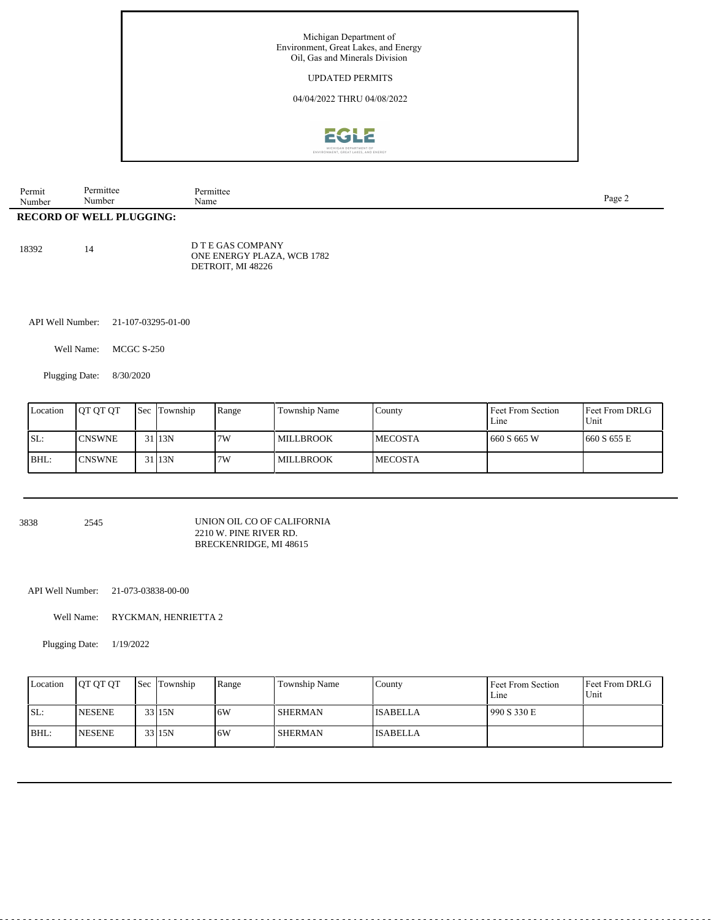

| Number<br><b>RECORD OF WELL</b> | Number<br>PLUGGING: | Name      | $_{\text{page 2}}$ |
|---------------------------------|---------------------|-----------|--------------------|
|                                 |                     |           |                    |
| Permit                          | Permittee           | Permittee |                    |

| 18392 | 14 | D T E GAS COMPANY<br>ONE ENERGY PLAZA, WCB 1782 |
|-------|----|-------------------------------------------------|
|       |    | DETROIT. MI 48226                               |

API Well Number: 21-107-03295-01-00

Well Name: MCGC S-250

Plugging Date: 8/30/2020

| Location | <b>IOT OT OT</b> | <b>Sec</b> Township | Range | Township Name    | County          | Feet From Section<br>Line | <b>Feet From DRLG</b><br>Unit |
|----------|------------------|---------------------|-------|------------------|-----------------|---------------------------|-------------------------------|
| SL:      | <b>ICNSWNE</b>   | 3113N               | 17W   | <b>MILLBROOK</b> | <b>IMECOSTA</b> | 660 S 665 W               | 1660 S 655 E                  |
| BHL:     | <b>ICNSWNE</b>   | 3113N               | 7W    | <b>MILLBROOK</b> | <b>IMECOSTA</b> |                           |                               |

3838 2545 UNION OIL CO OF CALIFORNIA 2210 W. PINE RIVER RD. BRECKENRIDGE, MI 48615

API Well Number: 21-073-03838-00-00

Well Name: RYCKMAN, HENRIETTA 2

Plugging Date: 1/19/2022

| Location | <b>IOT OT OT</b> | Sec Township | Range | Township Name  | County          | Feet From Section<br>Line | <b>Feet From DRLG</b><br>Unit |
|----------|------------------|--------------|-------|----------------|-----------------|---------------------------|-------------------------------|
| ISL:     | <b>NESENE</b>    | 33 15N       | 6W    | <b>SHERMAN</b> | <b>ISABELLA</b> | 990 S 330 E               |                               |
| BHL:     | <b>INESENE</b>   | 33 15N       | 6W    | <b>SHERMAN</b> | <b>ISABELLA</b> |                           |                               |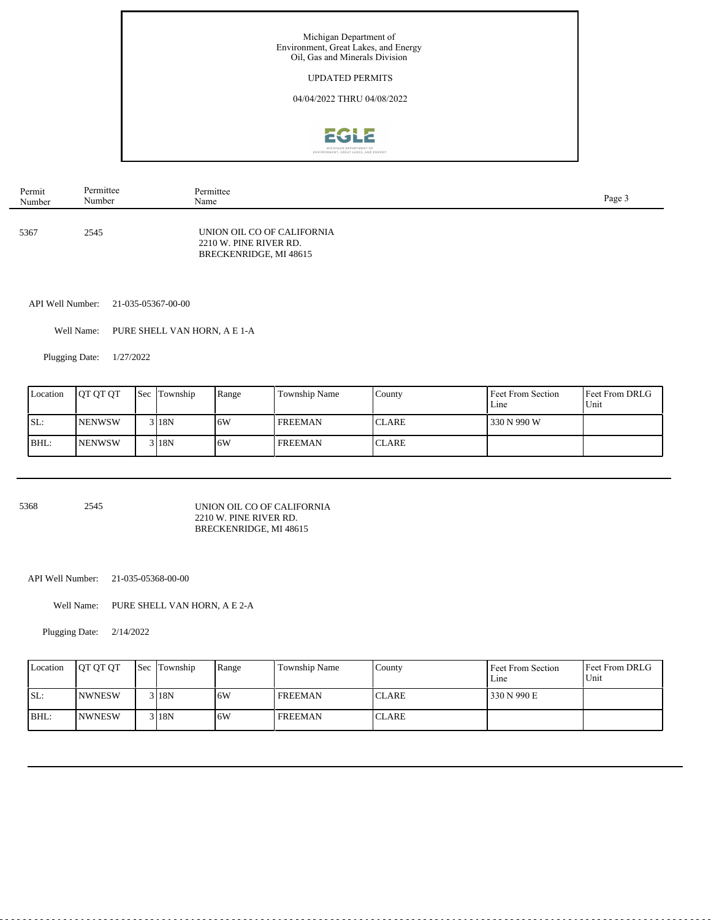

| Permit | Permittee | Permittee                                                                      | Page 3 |
|--------|-----------|--------------------------------------------------------------------------------|--------|
| Number | Number    | Name                                                                           |        |
| 5367   | 2545      | UNION OIL CO OF CALIFORNIA<br>2210 W. PINE RIVER RD.<br>BRECKENRIDGE, MI 48615 |        |

API Well Number: 21-035-05367-00-00

Well Name: PURE SHELL VAN HORN, A E 1-A

Plugging Date: 1/27/2022

| Location | <b>OT OT OT</b> | <b>Sec Township</b> | Range | Township Name  | County       | Feet From Section<br>Line | Feet From DRLG<br>Unit |
|----------|-----------------|---------------------|-------|----------------|--------------|---------------------------|------------------------|
| ISL:     | <b>INENWSW</b>  | 3 I 18 N            | 6W    | <b>FREEMAN</b> | <b>CLARE</b> | 330 N 990 W               |                        |
| BHL:     | <b>INENWSW</b>  | 3 18N               | 6W    | <b>FREEMAN</b> | <b>CLARE</b> |                           |                        |

5368 2545

#### UNION OIL CO OF CALIFORNIA 2210 W. PINE RIVER RD. BRECKENRIDGE, MI 48615

API Well Number: 21-035-05368-00-00

Well Name: PURE SHELL VAN HORN, A E 2-A

Plugging Date: 2/14/2022

| Location | <b>IOT OT OT</b> | <b>Sec Township</b> | Range | Township Name  | County       | Feet From Section<br>Line | Feet From DRLG<br>Unit |
|----------|------------------|---------------------|-------|----------------|--------------|---------------------------|------------------------|
| SL:      | <b>NWNESW</b>    | 3 18N               | 16W   | <b>FREEMAN</b> | <b>CLARE</b> | 330 N 990 E               |                        |
| BHL:     | <b>INWNESW</b>   | 3 18N               | 16W   | <b>FREEMAN</b> | <b>CLARE</b> |                           |                        |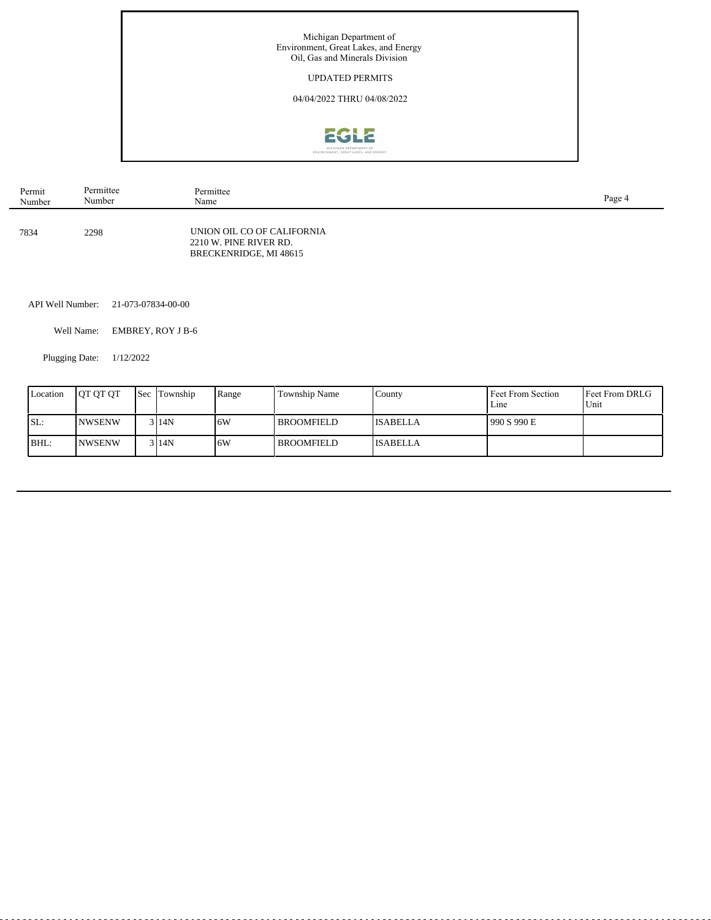

| Permit | Permittee | Permittee                                                                      | Page 4 |
|--------|-----------|--------------------------------------------------------------------------------|--------|
| Number | Number    | Name                                                                           |        |
| 7834   | 2298      | UNION OIL CO OF CALIFORNIA<br>2210 W. PINE RIVER RD.<br>BRECKENRIDGE, MI 48615 |        |

API Well Number: 21-073-07834-00-00

Well Name: EMBREY, ROY J B-6

Plugging Date: 1/12/2022

 $\overline{a}$ 

| Location | <b>IOT OT OT</b> | <b>Sec Township</b> | Range | <b>Township Name</b> | Countv           | Feet From Section<br>$L$ ine | <b>Feet From DRLG</b><br>Unit |
|----------|------------------|---------------------|-------|----------------------|------------------|------------------------------|-------------------------------|
| SL:      | <b>INWSENW</b>   | 3114N               | .6W   | <b>BROOMFIELD</b>    | <b>IISABELLA</b> | 990 S 990 E                  |                               |
| BHL:     | <b>INWSENW</b>   | 3114N               | .6W   | l BROOMFIELD         | <b>ISABELLA</b>  |                              |                               |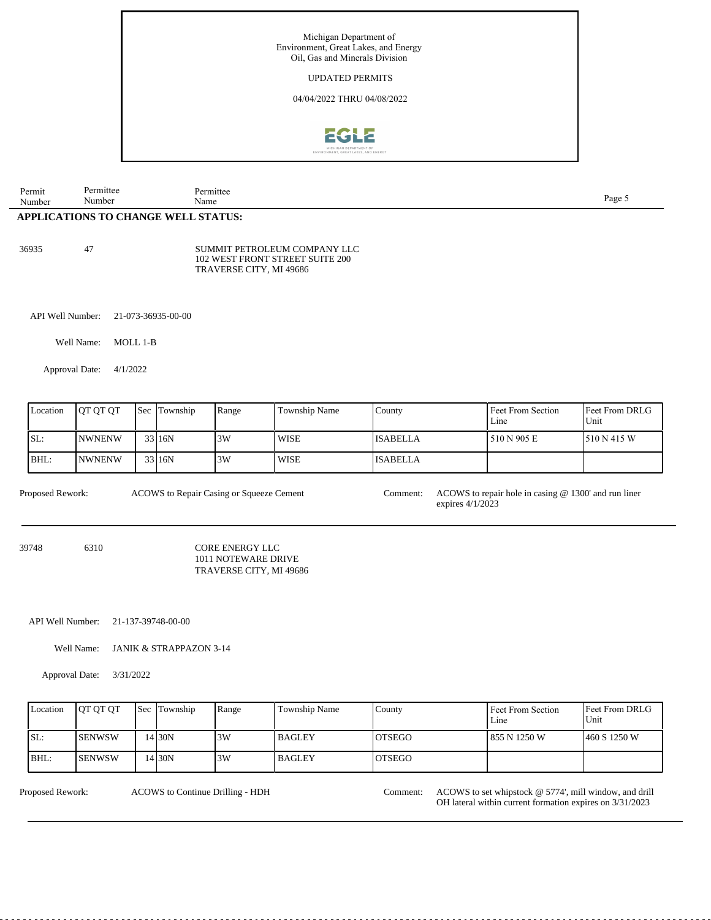

| Permit | Permittee                           | Permittee | Page 5 |
|--------|-------------------------------------|-----------|--------|
| Number | Number                              | Name      |        |
|        | APPLICATIONS TO CHANGE WELL STATUS: |           |        |

36935 47

SUMMIT PETROLEUM COMPANY LLC 102 WEST FRONT STREET SUITE 200 TRAVERSE CITY, MI 49686

API Well Number: 21-073-36935-00-00

Well Name: MOLL 1-B

Approval Date: 4/1/2022

| Location | <b>IOT OT OT</b> | <b>Sec Township</b> | Range | Township Name | County          | Feet From Section<br>Line | Feet From DRLG<br>Unit |
|----------|------------------|---------------------|-------|---------------|-----------------|---------------------------|------------------------|
| SL:      | <b>INWNENW</b>   | 33 16N              | 3W    | <b>WISE</b>   | <b>ISABELLA</b> | 510 N 905 E               | 1510 N 415 W           |
| BHL:     | <b>INWNENW</b>   | 33 16N              | 3W    | <b>WISE</b>   | <b>ISABELLA</b> |                           |                        |

ACOWS to Repair Casing or Squeeze Cement

Proposed Rework: ACOWS to Repair Casing or Squeeze Cement Comment: ACOWS to repair hole in casing @ 1300' and run liner expires 4/1/2023

39748 6310

CORE ENERGY LLC 1011 NOTEWARE DRIVE TRAVERSE CITY, MI 49686

API Well Number: 21-137-39748-00-00

Well Name: JANIK & STRAPPAZON 3-14

Approval Date: 3/31/2022

|      | Location | <b>IOT OT OT</b> | <b>Sec</b> Township | Range | Township Name | County         | Feet From Section<br>Line | <b>IFeet From DRLG</b><br>Unit |
|------|----------|------------------|---------------------|-------|---------------|----------------|---------------------------|--------------------------------|
| ISL: |          | <b>I</b> SENWSW  | 14 30N              | 3W    | l BAGLEY      | <b>IOTSEGO</b> | 855 N 1250 W              | 1460 S 1250 W                  |
| BHL: |          | <b>ISENWSW</b>   | 14 30N              | 3W    | l BAGLEY      | <b>IOTSEGO</b> |                           |                                |

ACOWS to Continue Drilling - HDH

Proposed Rework: ACOWS to Continue Drilling - HDH Comment: ACOWS to set whipstock @ 5774', mill window, and drill OH lateral within current formation expires on 3/31/2023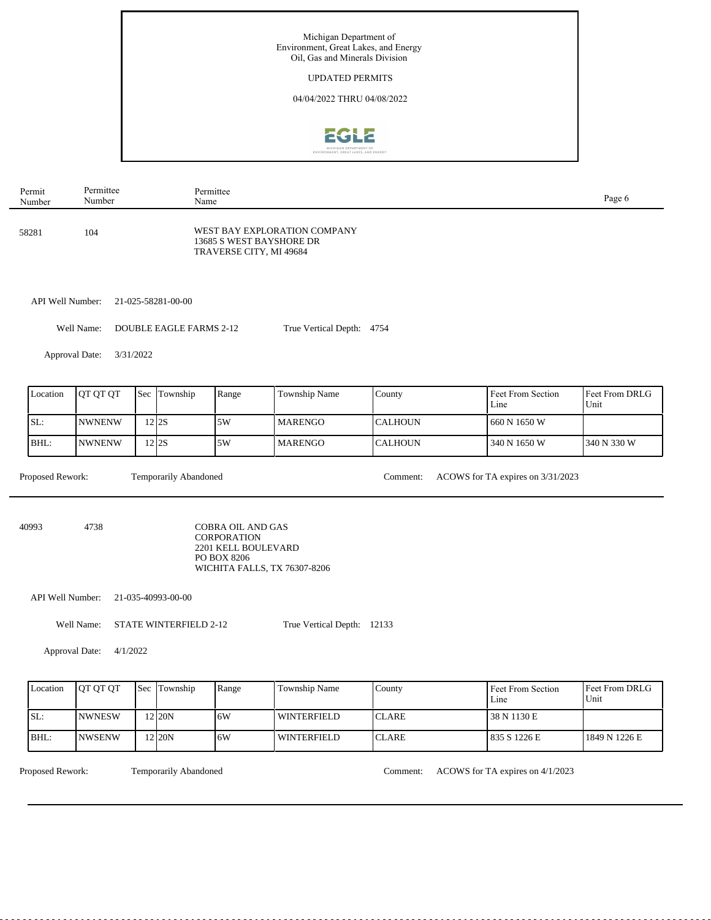

| Permit | Permittee | Permittee                                                                           | Page 6 |
|--------|-----------|-------------------------------------------------------------------------------------|--------|
| Number | Number    | Name                                                                                |        |
| 58281  | 104       | WEST BAY EXPLORATION COMPANY<br>13685 S WEST BAYSHORE DR<br>TRAVERSE CITY, MI 49684 |        |

API Well Number: 21-025-58281-00-00

Well Name: DOUBLE EAGLE FARMS 2-12 True Vertical Depth: 4754

Approval Date: 3/31/2022

| Location   | <b>IOT OT OT</b> | Sec | Township     | Range | Township Name   | County          | Feet From Section<br>Line | <b>Feet From DRLG</b><br>Unit |
|------------|------------------|-----|--------------|-------|-----------------|-----------------|---------------------------|-------------------------------|
| <b>SL:</b> | <b>INWNENW</b>   |     | 212S         | 5W    | <b>IMARENGO</b> | <b>ICALHOUN</b> | 660 N 1650 W              |                               |
| BHL:       | <b>NWNENW</b>    |     | $2\sqrt{2S}$ | .5W   | l MARENGO       | <b>CALHOUN</b>  | 340 N 1650 W              | 1340 N 330 W                  |

Proposed Rework: Temporarily Abandoned Comment: ACOWS for TA expires on 3/31/2023 Temporarily Abandoned

40993 4738 COBRA OIL AND GAS CORPORATION 2201 KELL BOULEVARD PO BOX 8206 WICHITA FALLS, TX 76307-8206

API Well Number: 21-035-40993-00-00

Well Name: STATE WINTERFIELD 2-12 True Vertical Depth: 12133

Approval Date: 4/1/2022

| Location | <b>IOT OT OT</b> | <b>Sec</b> Township | Range | l Township Name | County        | Feet From Section<br>$L$ me | <b>IFeet From DRLG</b><br>Unit |
|----------|------------------|---------------------|-------|-----------------|---------------|-----------------------------|--------------------------------|
| SL:      | <b>INWNESW</b>   | 2 I2ON              | 6W    | l winterfield   | <b>ICLARE</b> | 38 N 1130 E                 |                                |
| $IBHL$ : | <b>INWSENW</b>   | 2 I2ON              | 6W    | l winterfield   | <b>ICLARE</b> | 1835 S 1226 E               | 1849 N 1226 E                  |

Temporarily Abandoned

Proposed Rework: Temporarily Abandoned Comment: ACOWS for TA expires on 4/1/2023